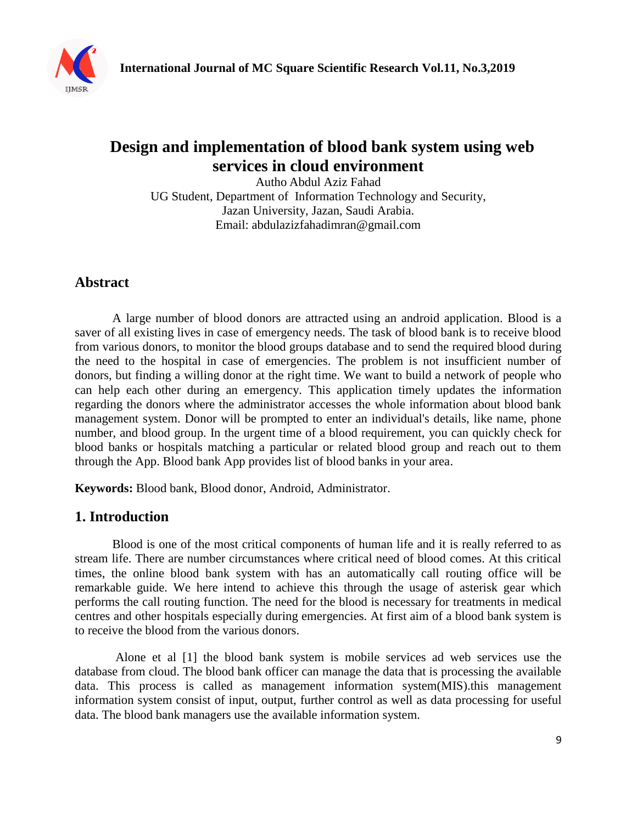

# **Design and implementation of blood bank system using web services in cloud environment**

Autho Abdul Aziz Fahad UG Student, Department of Information Technology and Security, Jazan University, Jazan, Saudi Arabia. Email: abdulazizfahadimran@gmail.com

## **Abstract**

A large number of blood donors are attracted using an android application. Blood is a saver of all existing lives in case of emergency needs. The task of blood bank is to receive blood from various donors, to monitor the blood groups database and to send the required blood during the need to the hospital in case of emergencies. The problem is not insufficient number of donors, but finding a willing donor at the right time. We want to build a network of people who can help each other during an emergency. This application timely updates the information regarding the donors where the administrator accesses the whole information about blood bank management system. Donor will be prompted to enter an individual's details, like name, phone number, and blood group. In the urgent time of a blood requirement, you can quickly check for blood banks or hospitals matching a particular or related blood group and reach out to them through the App. Blood bank App provides list of blood banks in your area.

**Keywords:** Blood bank, Blood donor, Android, Administrator.

## **1. Introduction**

Blood is one of the most critical components of human life and it is really referred to as stream life. There are number circumstances where critical need of blood comes. At this critical times, the online blood bank system with has an automatically call routing office will be remarkable guide. We here intend to achieve this through the usage of asterisk gear which performs the call routing function. The need for the blood is necessary for treatments in medical centres and other hospitals especially during emergencies. At first aim of a blood bank system is to receive the blood from the various donors.

Alone et al [1] the blood bank system is mobile services ad web services use the database from cloud. The blood bank officer can manage the data that is processing the available data. This process is called as management information system(MIS).this management information system consist of input, output, further control as well as data processing for useful data. The blood bank managers use the available information system.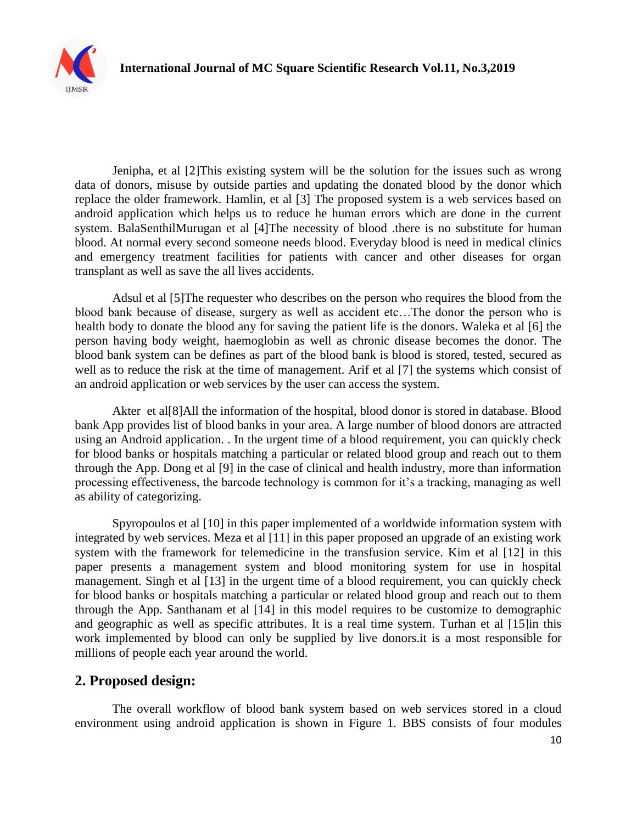

Jenipha, et al [2]This existing system will be the solution for the issues such as wrong data of donors, misuse by outside parties and updating the donated blood by the donor which replace the older framework. Hamlin, et al [3] The proposed system is a web services based on android application which helps us to reduce he human errors which are done in the current system. BalaSenthilMurugan et al [4]The necessity of blood .there is no substitute for human blood. At normal every second someone needs blood. Everyday blood is need in medical clinics and emergency treatment facilities for patients with cancer and other diseases for organ transplant as well as save the all lives accidents.

Adsul et al [5]The requester who describes on the person who requires the blood from the blood bank because of disease, surgery as well as accident etc…The donor the person who is health body to donate the blood any for saving the patient life is the donors. Waleka et al [6] the person having body weight, haemoglobin as well as chronic disease becomes the donor. The blood bank system can be defines as part of the blood bank is blood is stored, tested, secured as well as to reduce the risk at the time of management. Arif et al [7] the systems which consist of an android application or web services by the user can access the system.

Akter et al[8]All the information of the hospital, blood donor is stored in database. Blood bank App provides list of blood banks in your area. A large number of blood donors are attracted using an Android application. . In the urgent time of a blood requirement, you can quickly check for blood banks or hospitals matching a particular or related blood group and reach out to them through the App. Dong et al [9] in the case of clinical and health industry, more than information processing effectiveness, the barcode technology is common for it's a tracking, managing as well as ability of categorizing.

Spyropoulos et al [10] in this paper implemented of a worldwide information system with integrated by web services. Meza et al [11] in this paper proposed an upgrade of an existing work system with the framework for telemedicine in the transfusion service. Kim et al [12] in this paper presents a management system and blood monitoring system for use in hospital management. Singh et al [13] in the urgent time of a blood requirement, you can quickly check for blood banks or hospitals matching a particular or related blood group and reach out to them through the App. Santhanam et al [14] in this model requires to be customize to demographic and geographic as well as specific attributes. It is a real time system. Turhan et al [15]in this work implemented by blood can only be supplied by live donors.it is a most responsible for millions of people each year around the world.

## **2. Proposed design:**

The overall workflow of blood bank system based on web services stored in a cloud environment using android application is shown in Figure 1. BBS consists of four modules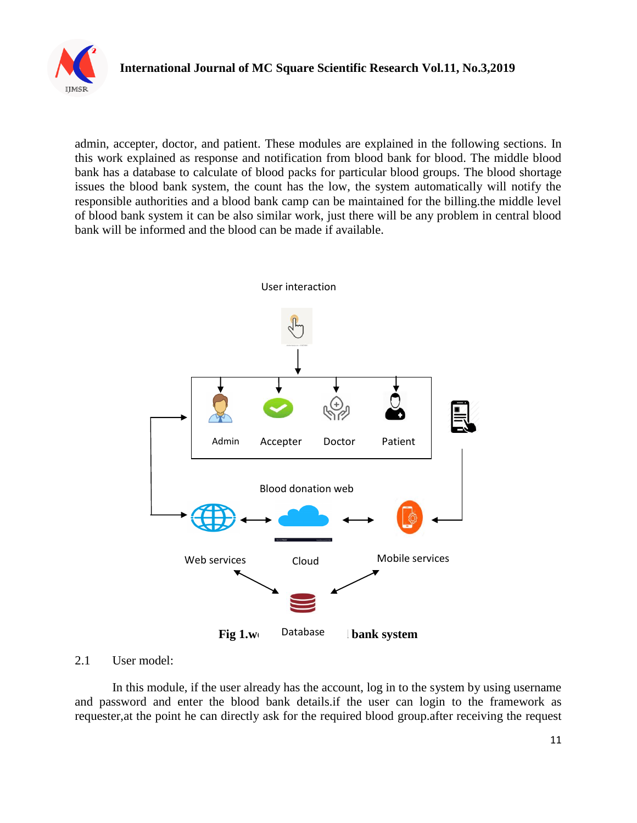

admin, accepter, doctor, and patient. These modules are explained in the following sections. In this work explained as response and notification from blood bank for blood. The middle blood bank has a database to calculate of blood packs for particular blood groups. The blood shortage issues the blood bank system, the count has the low, the system automatically will notify the responsible authorities and a blood bank camp can be maintained for the billing.the middle level of blood bank system it can be also similar work, just there will be any problem in central blood bank will be informed and the blood can be made if available.



#### 2.1 User model:

In this module, if the user already has the account, log in to the system by using username and password and enter the blood bank details.if the user can login to the framework as requester,at the point he can directly ask for the required blood group.after receiving the request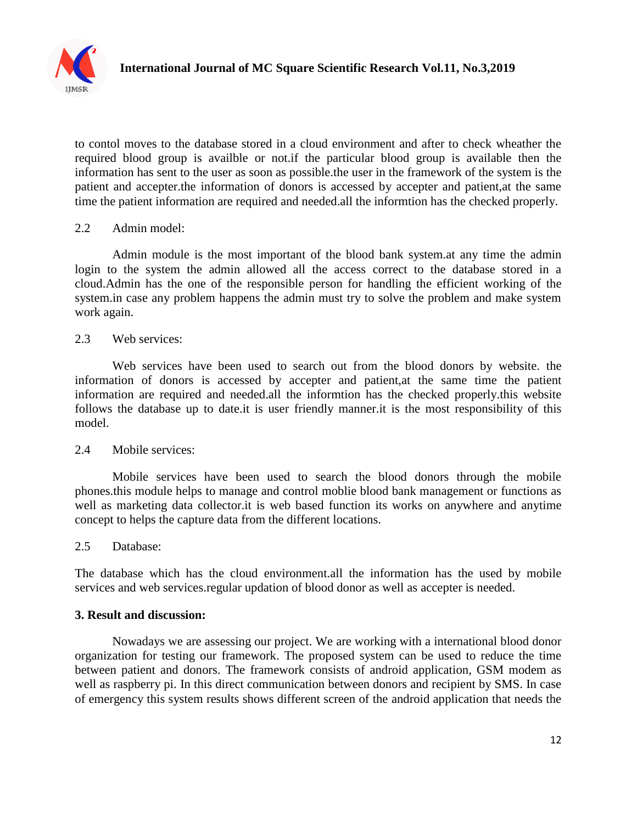

to contol moves to the database stored in a cloud environment and after to check wheather the required blood group is availble or not.if the particular blood group is available then the information has sent to the user as soon as possible.the user in the framework of the system is the patient and accepter.the information of donors is accessed by accepter and patient,at the same time the patient information are required and needed.all the informtion has the checked properly.

#### 2.2 Admin model:

Admin module is the most important of the blood bank system.at any time the admin login to the system the admin allowed all the access correct to the database stored in a cloud.Admin has the one of the responsible person for handling the efficient working of the system.in case any problem happens the admin must try to solve the problem and make system work again.

#### 2.3 Web services:

Web services have been used to search out from the blood donors by website. the information of donors is accessed by accepter and patient,at the same time the patient information are required and needed.all the informtion has the checked properly.this website follows the database up to date.it is user friendly manner.it is the most responsibility of this model.

#### 2.4 Mobile services:

Mobile services have been used to search the blood donors through the mobile phones.this module helps to manage and control moblie blood bank management or functions as well as marketing data collector.it is web based function its works on anywhere and anytime concept to helps the capture data from the different locations.

#### 2.5 Database:

The database which has the cloud environment.all the information has the used by mobile services and web services.regular updation of blood donor as well as accepter is needed.

#### **3. Result and discussion:**

Nowadays we are assessing our project. We are working with a international blood donor organization for testing our framework. The proposed system can be used to reduce the time between patient and donors. The framework consists of android application, GSM modem as well as raspberry pi. In this direct communication between donors and recipient by SMS. In case of emergency this system results shows different screen of the android application that needs the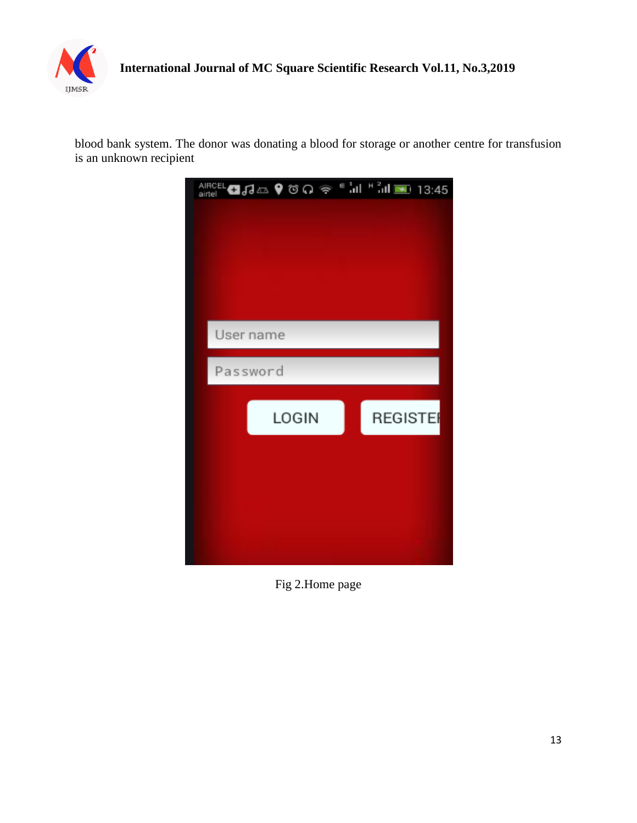

blood bank system. The donor was donating a blood for storage or another centre for transfusion is an unknown recipient



Fig 2.Home page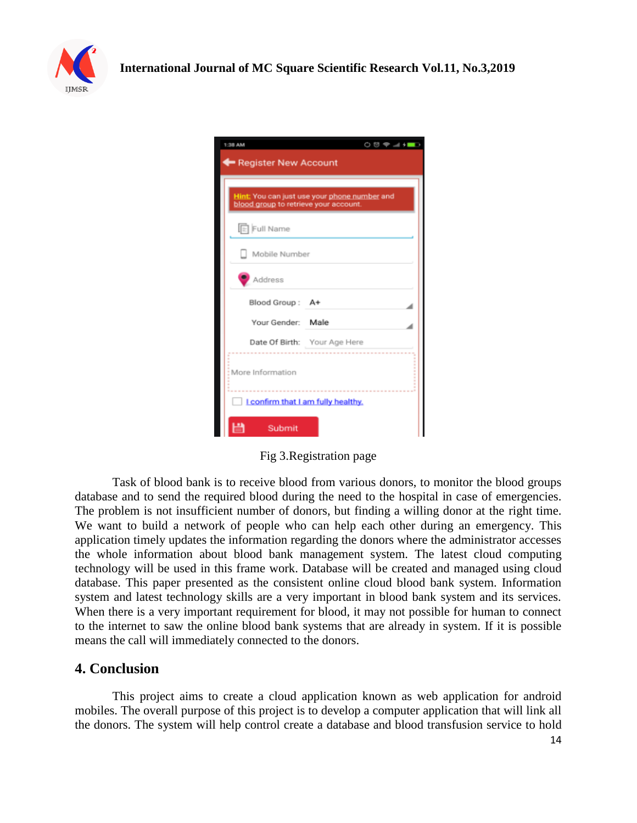

| $\circ$ $\circ$ $\bullet$ $\bullet$ $\bullet$ $\bullet$ $\bullet$<br>1:38 AM<br><b>Register New Account</b> |  |
|-------------------------------------------------------------------------------------------------------------|--|
| Hint: You can just use your phone number and<br>blood group to retrieve your account.                       |  |
| Full Name                                                                                                   |  |
| Mobile Number                                                                                               |  |
| Address                                                                                                     |  |
| Blood Group: A+                                                                                             |  |
| Your Gender: Male                                                                                           |  |
| Date Of Birth: Your Age Here                                                                                |  |
| More Information                                                                                            |  |
| I confirm that I am fully healthy.                                                                          |  |
| Submit                                                                                                      |  |

Fig 3.Registration page

Task of blood bank is to receive blood from various donors, to monitor the blood groups database and to send the required blood during the need to the hospital in case of emergencies. The problem is not insufficient number of donors, but finding a willing donor at the right time. We want to build a network of people who can help each other during an emergency. This application timely updates the information regarding the donors where the administrator accesses the whole information about blood bank management system. The latest cloud computing technology will be used in this frame work. Database will be created and managed using cloud database. This paper presented as the consistent online cloud blood bank system. Information system and latest technology skills are a very important in blood bank system and its services. When there is a very important requirement for blood, it may not possible for human to connect to the internet to saw the online blood bank systems that are already in system. If it is possible means the call will immediately connected to the donors.

### **4. Conclusion**

This project aims to create a cloud application known as web application for android mobiles. The overall purpose of this project is to develop a computer application that will link all the donors. The system will help control create a database and blood transfusion service to hold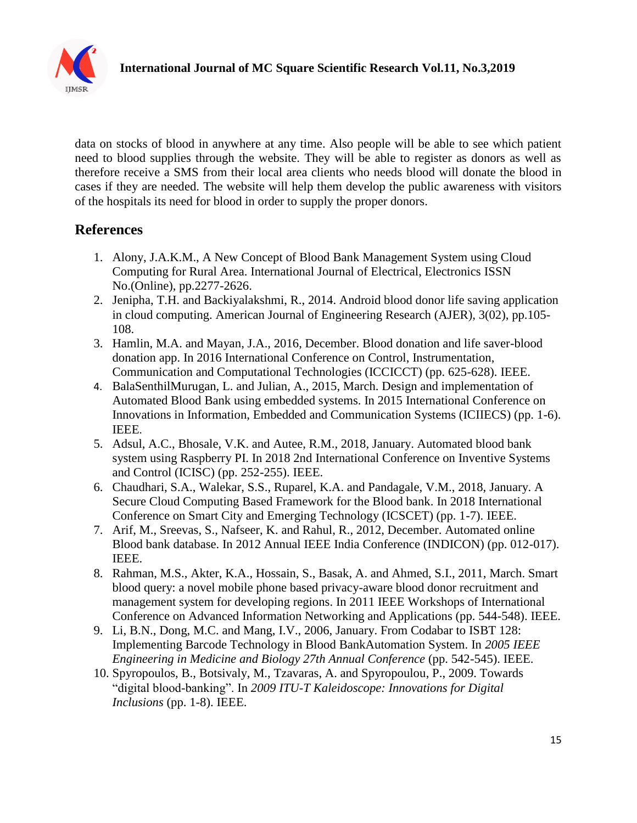

data on stocks of blood in anywhere at any time. Also people will be able to see which patient need to blood supplies through the website. They will be able to register as donors as well as therefore receive a SMS from their local area clients who needs blood will donate the blood in cases if they are needed. The website will help them develop the public awareness with visitors of the hospitals its need for blood in order to supply the proper donors.

## **References**

- 1. Alony, J.A.K.M., A New Concept of Blood Bank Management System using Cloud Computing for Rural Area. International Journal of Electrical, Electronics ISSN No.(Online), pp.2277-2626.
- 2. Jenipha, T.H. and Backiyalakshmi, R., 2014. Android blood donor life saving application in cloud computing. American Journal of Engineering Research (AJER), 3(02), pp.105- 108.
- 3. Hamlin, M.A. and Mayan, J.A., 2016, December. Blood donation and life saver-blood donation app. In 2016 International Conference on Control, Instrumentation, Communication and Computational Technologies (ICCICCT) (pp. 625-628). IEEE.
- 4. BalaSenthilMurugan, L. and Julian, A., 2015, March. Design and implementation of Automated Blood Bank using embedded systems. In 2015 International Conference on Innovations in Information, Embedded and Communication Systems (ICIIECS) (pp. 1-6). IEEE.
- 5. Adsul, A.C., Bhosale, V.K. and Autee, R.M., 2018, January. Automated blood bank system using Raspberry PI. In 2018 2nd International Conference on Inventive Systems and Control (ICISC) (pp. 252-255). IEEE.
- 6. Chaudhari, S.A., Walekar, S.S., Ruparel, K.A. and Pandagale, V.M., 2018, January. A Secure Cloud Computing Based Framework for the Blood bank. In 2018 International Conference on Smart City and Emerging Technology (ICSCET) (pp. 1-7). IEEE.
- 7. Arif, M., Sreevas, S., Nafseer, K. and Rahul, R., 2012, December. Automated online Blood bank database. In 2012 Annual IEEE India Conference (INDICON) (pp. 012-017). IEEE.
- 8. Rahman, M.S., Akter, K.A., Hossain, S., Basak, A. and Ahmed, S.I., 2011, March. Smart blood query: a novel mobile phone based privacy-aware blood donor recruitment and management system for developing regions. In 2011 IEEE Workshops of International Conference on Advanced Information Networking and Applications (pp. 544-548). IEEE.
- 9. Li, B.N., Dong, M.C. and Mang, I.V., 2006, January. From Codabar to ISBT 128: Implementing Barcode Technology in Blood BankAutomation System. In *2005 IEEE Engineering in Medicine and Biology 27th Annual Conference* (pp. 542-545). IEEE.
- 10. Spyropoulos, B., Botsivaly, M., Tzavaras, A. and Spyropoulou, P., 2009. Towards "digital blood-banking". In *2009 ITU-T Kaleidoscope: Innovations for Digital Inclusions* (pp. 1-8). IEEE.